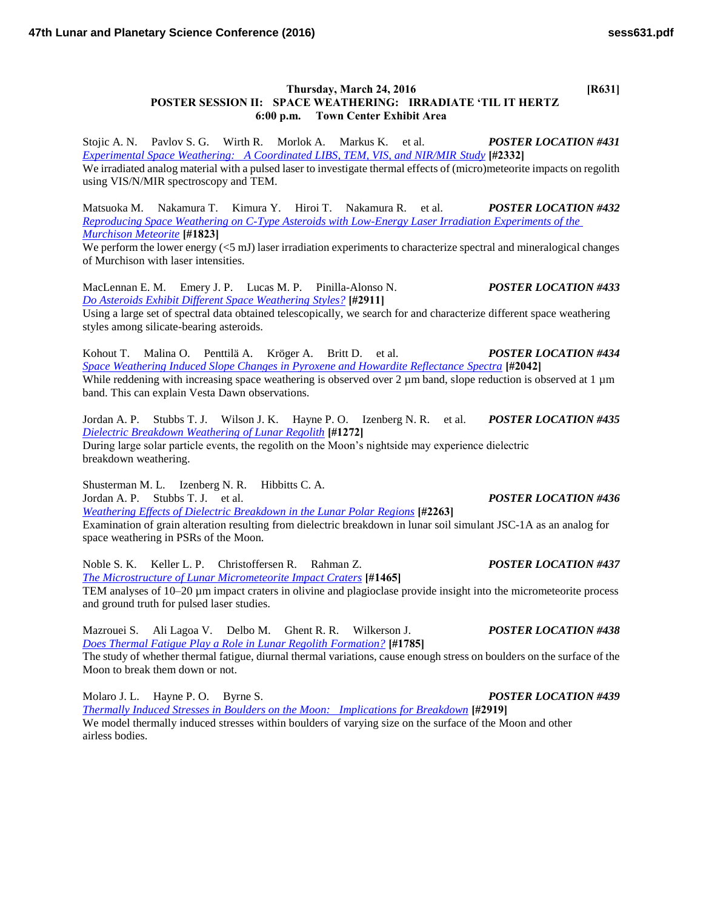## **Thursday, March 24, 2016 [R631] POSTER SESSION II: SPACE WEATHERING: IRRADIATE 'TIL IT HERTZ 6:00 p.m. Town Center Exhibit Area**

Stojic A. N. Pavlov S. G. Wirth R. Morlok A. Markus K. et al. *POSTER LOCATION #431 [Experimental Space Weathering: A Coordinated LIBS, TEM, VIS, and NIR/MIR Study](http://www.hou.usra.edu/meetings/lpsc2016/pdf/2332.pdf)* **[#2332]**

We irradiated analog material with a pulsed laser to investigate thermal effects of (micro)meteorite impacts on regolith using VIS/N/MIR spectroscopy and TEM.

Matsuoka M. Nakamura T. Kimura Y. Hiroi T. Nakamura R. et al. *POSTER LOCATION #432 [Reproducing Space Weathering on C-Type Asteroids with Low-Energy Laser Irradiation Experiments of the](http://www.hou.usra.edu/meetings/lpsc2016/pdf/1823.pdf)  [Murchison Meteorite](http://www.hou.usra.edu/meetings/lpsc2016/pdf/1823.pdf)* **[#1823]**

We perform the lower energy ( $\leq 5$  mJ) laser irradiation experiments to characterize spectral and mineralogical changes of Murchison with laser intensities.

MacLennan E. M. Emery J. P. Lucas M. P. Pinilla-Alonso N. *POSTER LOCATION #433 [Do Asteroids Exhibit Different Space Weathering Styles?](http://www.hou.usra.edu/meetings/lpsc2016/pdf/2911.pdf)* **[#2911]**

Using a large set of spectral data obtained telescopically, we search for and characterize different space weathering styles among silicate-bearing asteroids.

Kohout T. Malina O. Penttilä A. Kröger A. Britt D. et al. *POSTER LOCATION #434 [Space Weathering Induced Slope Changes in Pyroxene and Howardite Reflectance Spectra](http://www.hou.usra.edu/meetings/lpsc2016/pdf/2042.pdf)* **[#2042]** While reddening with increasing space weathering is observed over 2  $\mu$ m band, slope reduction is observed at 1  $\mu$ m band. This can explain Vesta Dawn observations.

Jordan A. P. Stubbs T. J. Wilson J. K. Hayne P. O. Izenberg N. R. et al. *POSTER LOCATION #435 [Dielectric Breakdown Weathering of Lunar Regolith](http://www.hou.usra.edu/meetings/lpsc2016/pdf/1272.pdf)* **[#1272]** During large solar particle events, the regolith on the Moon's nightside may experience dielectric breakdown weathering.

Shusterman M. L. Izenberg N. R. Hibbitts C. A. Jordan A. P. Stubbs T. J. et al. *POSTER LOCATION #436 [Weathering Effects of Dielectric Breakdown in the Lunar Polar Regions](http://www.hou.usra.edu/meetings/lpsc2016/pdf/2263.pdf)* **[#2263]** Examination of grain alteration resulting from dielectric breakdown in lunar soil simulant JSC-1A as an analog for space weathering in PSRs of the Moon.

Noble S. K. Keller L. P. Christoffersen R. Rahman Z. *POSTER LOCATION #437 [The Microstructure of Lunar Micrometeorite Impact Craters](http://www.hou.usra.edu/meetings/lpsc2016/pdf/1465.pdf)* **[#1465]** TEM analyses of 10–20 µm impact craters in olivine and plagioclase provide insight into the micrometeorite process and ground truth for pulsed laser studies.

Mazrouei S. Ali Lagoa V. Delbo M. Ghent R. R. Wilkerson J. *POSTER LOCATION #438 [Does Thermal Fatigue Play a Role in Lunar Regolith Formation?](http://www.hou.usra.edu/meetings/lpsc2016/pdf/1785.pdf)* **[#1785]** The study of whether thermal fatigue, diurnal thermal variations, cause enough stress on boulders on the surface of the Moon to break them down or not.

Molaro J. L. Hayne P. O. Byrne S. *POSTER LOCATION #439 [Thermally Induced Stresses in Boulders on the Moon: Implications for Breakdown](http://www.hou.usra.edu/meetings/lpsc2016/pdf/2919.pdf)* **[#2919]** We model thermally induced stresses within boulders of varying size on the surface of the Moon and other airless bodies.